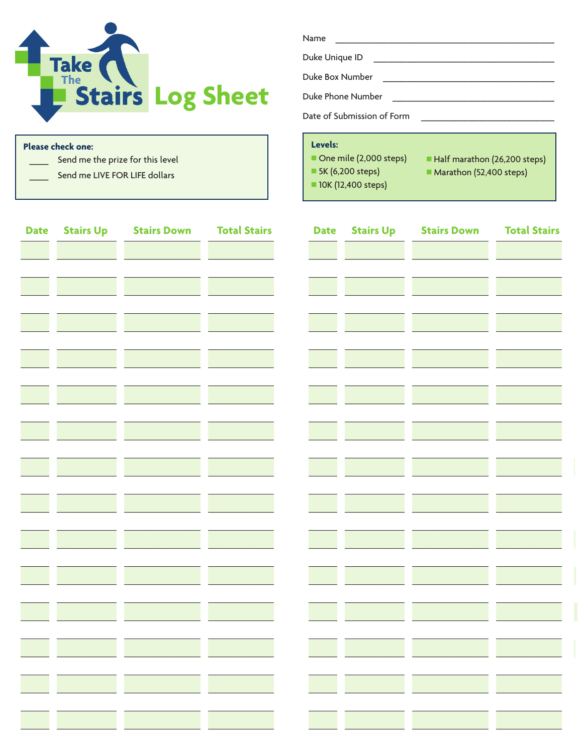

Send me the prize for this level

Send me LIVE FOR LIFE dollars

**Please check one:** 

| Name                       |  |  |  |  |  |  |
|----------------------------|--|--|--|--|--|--|
| Duke Unique ID             |  |  |  |  |  |  |
| Duke Box Number            |  |  |  |  |  |  |
| Duke Phone Number          |  |  |  |  |  |  |
| Date of Submission of Form |  |  |  |  |  |  |

## Levels:

- One mile (2,000 steps)
- Half marathon (26,200 steps)
- 5K (6,200 steps)
- 10K (12,400 steps)
- Marathon (52,400 steps)

| <b>Date</b> | <b>Stairs Up</b> | <b>Stairs Down</b> | <b>Total Stairs</b> | <b>Date</b> | <b>Stairs Up</b> | <b>Stairs Down</b> | <b>Total Stairs</b> |
|-------------|------------------|--------------------|---------------------|-------------|------------------|--------------------|---------------------|
|             |                  |                    |                     |             |                  |                    |                     |
|             |                  |                    |                     |             |                  |                    |                     |
|             |                  |                    |                     |             |                  |                    |                     |
|             |                  |                    |                     |             |                  |                    |                     |
|             |                  |                    |                     |             |                  |                    |                     |
|             |                  |                    |                     |             |                  |                    |                     |
|             |                  |                    |                     |             |                  |                    |                     |
|             |                  |                    |                     |             |                  |                    |                     |
|             |                  |                    |                     |             |                  |                    |                     |
|             |                  |                    |                     |             |                  |                    |                     |
|             |                  |                    |                     |             |                  |                    |                     |
|             |                  |                    |                     |             |                  |                    |                     |
|             |                  |                    |                     |             |                  |                    |                     |
|             |                  |                    |                     |             |                  |                    |                     |
|             |                  |                    |                     |             |                  |                    |                     |
|             |                  |                    |                     |             |                  |                    |                     |
|             |                  |                    |                     |             |                  |                    |                     |
|             |                  |                    |                     |             |                  |                    |                     |
|             |                  |                    |                     |             |                  |                    |                     |
|             |                  |                    |                     |             |                  |                    |                     |